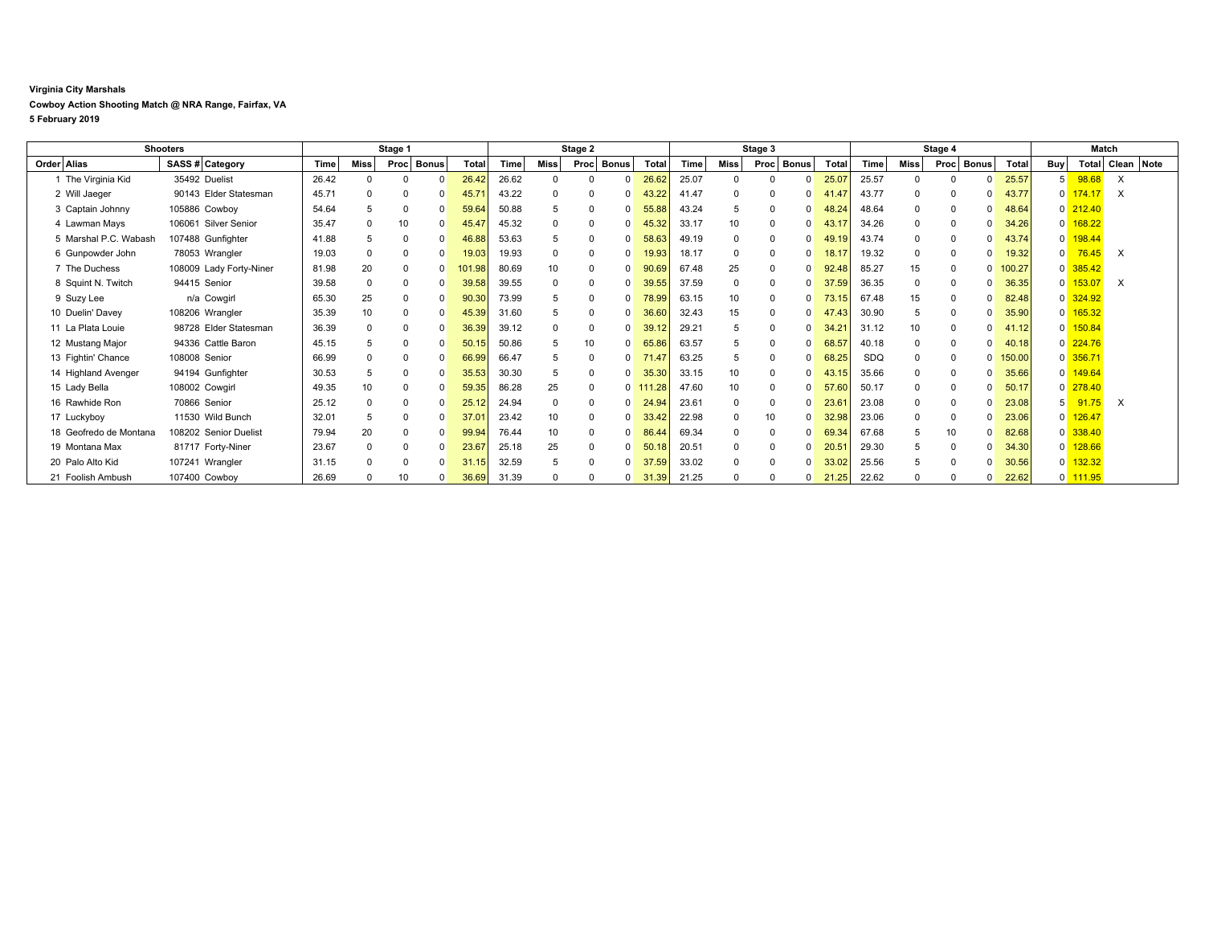## **Virginia City Marshals**

## **Cowboy Action Shooting Match @ NRA Range, Fairfax, VA**

**5 February 2019**

| <b>Shooters</b>        |                         | Stage 1 |              |          |            | Stage 2      |       |             | Stage 3              |            |       |             | Stage 4              |           |            |      | Match    |              |        |                |                       |          |            |
|------------------------|-------------------------|---------|--------------|----------|------------|--------------|-------|-------------|----------------------|------------|-------|-------------|----------------------|-----------|------------|------|----------|--------------|--------|----------------|-----------------------|----------|------------|
| Order Alias            | SASS # Category         | Time    | Miss         |          | Proc Bonus | <b>Total</b> | Time  | Miss        | Proc<br><b>Bonus</b> | Total      | Time  | Miss        | <b>Bonus</b><br>Proc | Total     | Time       | Miss | Proc     | <b>Bonus</b> | Total  | Buy            | Total                 |          | Clean Note |
| 1 The Virginia Kid     | 35492 Duelist           | 26.42   | $\Omega$     |          |            | 26.42        | 26.62 |             | $\Omega$             | 26.62      | 25.07 |             |                      | 25.07     | 25.57      |      |          |              | 25.57  | 5 <sup>1</sup> | 98.68                 | $\times$ |            |
| 2 Will Jaeger          | 90143 Elder Statesman   | 45.71   | $\Omega$     |          |            | 45.7'        | 43.22 | $\Omega$    | $\Omega$             | 43.22      | 41.47 | $\Omega$    |                      | 41.47     | 43.77      |      | $\Omega$ | <sup>0</sup> | 43.77  | $\Omega$       | 174.17                | $\times$ |            |
| 3 Captain Johnny       | 105886 Cowboy           | 54.64   | 5            |          | $\Omega$   | 59.64        | 50.88 | 5           | $\Omega$             | 55.88      | 43.24 | 5           |                      | 48.24     | 48.64      |      | 0        | <sup>0</sup> | 48.64  |                | $0\overline{212.40}$  |          |            |
| 4 Lawman Mays          | 106061 Silver Senior    | 35.47   | 0            | 10       |            | 45.47        | 45.32 | 0           | $\mathbf{0}$         | 45.32      | 33.17 | 10          |                      | 43.17     | 34.26      |      | 0        |              | 34.26  | $\Omega$       | 168.22                |          |            |
| 5 Marshal P.C. Wabash  | 107488 Gunfighter       | 41.88   | 5            |          |            | 46.88        | 53.63 | 5           | $\Omega$             | 58.63      | 49.19 | $\Omega$    |                      | 49.19     | 43.74      |      | $\Omega$ | ŋ            | 43.74  | $\Omega$       | 198.44                |          |            |
| 6 Gunpowder John       | 78053 Wrangler          | 19.03   | $\mathbf 0$  | $\Omega$ | $\Omega$   | 19.03        | 19.93 | $\mathbf 0$ | $\mathbf{0}$         | 19.93      | 18.17 | $\Omega$    |                      | 18.17     | 19.32      |      | 0        | <sup>0</sup> | 19.32  | $\Omega$       | 76.45                 | $\times$ |            |
| 7 The Duchess          | 108009 Lady Forty-Niner | 81.98   | 20           |          |            | 01.98        | 80.69 | 10          | $\Omega$             | 90.69      | 67.48 | 25          |                      | 92.48     | 85.27      | 15   | 0        |              | 100.27 | $\Omega$       | 385.42                |          |            |
| 8 Squint N. Twitch     | 94415 Senior            | 39.58   | 0            |          |            | 39.58        | 39.55 | $\mathbf 0$ | $\mathbf{0}$         | 39.55      | 37.59 | $\mathbf 0$ |                      | 37<br>.59 | 36.35      |      | 0        |              | 36.35  | $\Omega$       | 153.07                | X        |            |
| 9 Suzy Lee             | n/a Cowgirl             | 65.30   | 25           | $\Omega$ | $\Omega$   | 90.30        | 73.99 | 5           | -0<br>$\Omega$       | 78.99      | 63.15 | 10          |                      | 73.15     | 67.48      | 15   | 0        | $\Omega$     | 82.48  |                | 0 324.92              |          |            |
| 10 Duelin' Davey       | 108206 Wrangler         | 35.39   | 10           |          |            | 45.39        | 31.60 |             | $\Omega$             | 36.60      | 32.43 | 15          |                      | 47.43     | 30.90      |      | 0        | <sup>0</sup> | 35.90  | $\Omega$       | 165.32                |          |            |
| 11 La Plata Louie      | 98728 Elder Statesman   | 36.39   | 0            |          | $\Omega$   | 36.39        | 39.12 | $\mathbf 0$ | $\Omega$<br>$\Omega$ |            | 29.21 | 5           |                      | 34.21     | 31.12      | 10   | 0        | ŋ            | 41.12  | $\Omega$       | 150.84                |          |            |
| 12 Mustang Major       | 94336 Cattle Baron      | 45.15   | 5            |          |            | 50.15        | 50.86 | 5           | 10<br>$\Omega$       | 65.86      | 63.57 | 5           |                      | 68.57     | 40.18      |      | 0        | $\Omega$     | 40.18  |                | $0$ 224.76            |          |            |
| 13 Fightin' Chance     | 108008 Senior           | 66.99   | $\Omega$     |          |            | 66.99        | 66.47 |             | $\Omega$             | 71.47      | 63.25 | 5           |                      | 68.25     | <b>SDQ</b> |      | $\Omega$ | $\Omega$     | 150.00 |                | $0$ 356.71            |          |            |
| 14 Highland Avenger    | 94194 Gunfighter        | 30.53   | 5            |          |            | 35.53        | 30.30 | 5           | $\Omega$             | 35.30      | 33.15 | 10          |                      | 43.15     | 35.66      |      | 0        | <sup>0</sup> | 35.66  |                | $0 \overline{149.64}$ |          |            |
| 15 Lady Bella          | 108002 Cowgirl          | 49.35   | 10           |          |            | 59.35        | 86.28 | 25          |                      | $0$ 111.28 | 47.60 | 10          |                      | 57.60     | 50.17      |      | 0        |              | 50.17  | $\Omega$       | 278.40                |          |            |
| 16 Rawhide Ron         | 70866 Senior            | 25.12   | $\mathbf 0$  |          |            | 25.12        | 24.94 | $\mathbf 0$ | $\mathbf{0}$         | 24.94      | 23.61 | $\Omega$    |                      | 23.61     | 23.08      |      | 0        |              | 23.08  | 5 <sup>1</sup> | 91.75                 | X        |            |
| 17 Luckyboy            | 11530 Wild Bunch        | 32.01   | 5            |          |            | 37.01        | 23.42 | 10          | $\Omega$             | 33.42      | 22.98 | $\mathbf 0$ | 10                   | 32.98     | 23.06      |      | 0        | <sup>0</sup> | 23.06  | $\Omega$       | 126.47                |          |            |
| 18 Geofredo de Montana | 108202 Senior Duelist   | 79.94   | 20           |          |            | 99.94        | 76.44 | 10          | $\Omega$             | 86.44      | 69.34 | 0           |                      | 69.34     | 67.68      |      | 10       | <sup>0</sup> | 82.68  | $\Omega$       | 338.40                |          |            |
| 19 Montana Max         | 81717 Forty-Niner       | 23.67   | 0            |          |            | 23.67        | 25.18 | 25          | $\Omega$             | 50.        | 20.51 | $\mathbf 0$ |                      | 20.51     | 29.30      |      | 0        |              | 34.30  | $\overline{0}$ | 128.66                |          |            |
| 20 Palo Alto Kid       | 107241 Wrangler         | 31.15   | $\mathbf{0}$ |          | $\Omega$   | 31.15        | 32.59 | 5           | $\Omega$<br>$\Omega$ | 37.59      | 33.02 | $\Omega$    |                      | 33.02     | 25.56      |      | 0        | <sup>0</sup> | 30.56  | $\overline{0}$ | 132.32                |          |            |
| 21 Foolish Ambush      | 107400 Cowboy           | 26.69   |              | 10       |            | 36.69        | 31.39 |             | $\mathbf{0}$         | 31.39      | 21.25 | $\Omega$    |                      | 21.25     | 22.62      |      |          |              | 22.62  |                | 0 111.95              |          |            |